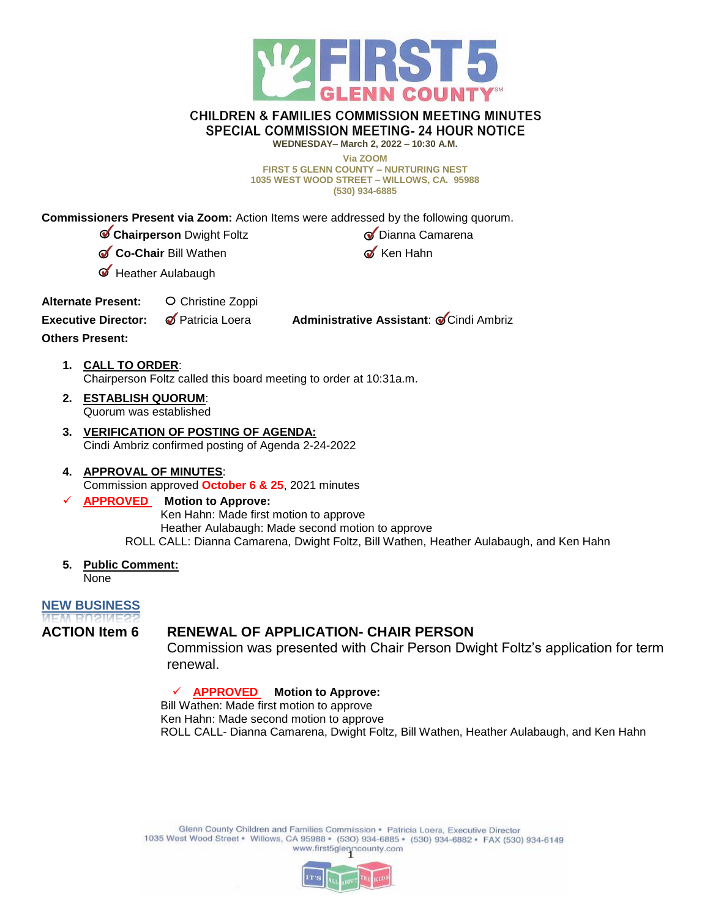

#### **CHILDREN & FAMILIES COMMISSION MEETING MINUTES SPECIAL COMMISSION MEETING- 24 HOUR NOTICE**

**WEDNESDAY– March 2, 2022 – 10:30 A.M.** 

**Via ZOOM FIRST 5 GLENN COUNTY – NURTURING NEST 1035 WEST WOOD STREET – WILLOWS, CA. 95988 (530) 934-6885**

**Commissioners Present via Zoom:** Action Items were addressed by the following quorum.

- **Chairperson** Dwight Foltz **Dianna Camarena**
- **Co-Chair** Bill Wathen **Ken Hahn Co-Chair** Bill Wathen
- Heather Aulabaugh

Alternate Present: 
C Christine Zoppi

**Executive Director:**  $\oslash$  Patricia Loera **Administrative Assistant:** Cindi Ambriz

**Others Present:**

- **1. CALL TO ORDER**: Chairperson Foltz called this board meeting to order at 10:31a.m.
- **2. ESTABLISH QUORUM**: Quorum was established
- **3. VERIFICATION OF POSTING OF AGENDA:** Cindi Ambriz confirmed posting of Agenda 2-24-2022

# **4. APPROVAL OF MINUTES**:

Commission approved **October 6 & 25**, 2021 minutes

#### **APPROVED Motion to Approve:**

 Ken Hahn: Made first motion to approve Heather Aulabaugh: Made second motion to approve ROLL CALL: Dianna Camarena, Dwight Foltz, Bill Wathen, Heather Aulabaugh, and Ken Hahn

# **5. Public Comment:**

None

# **NEW BUSINESS**

# **ACTION Item 6 RENEWAL OF APPLICATION- CHAIR PERSON**

Commission was presented with Chair Person Dwight Foltz's application for term renewal.

### **APPROVED Motion to Approve:**

 Bill Wathen: Made first motion to approve Ken Hahn: Made second motion to approve ROLL CALL- Dianna Camarena, Dwight Foltz, Bill Wathen, Heather Aulabaugh, and Ken Hahn

Glenn County Children and Families Commission . Patricia Loera, Executive Director 1035 West Wood Street • Willows, CA 95988 • (530) 934-6885 • (530) 934-6882 • FAX (530) 934-6149 www.first5glenncounty.com

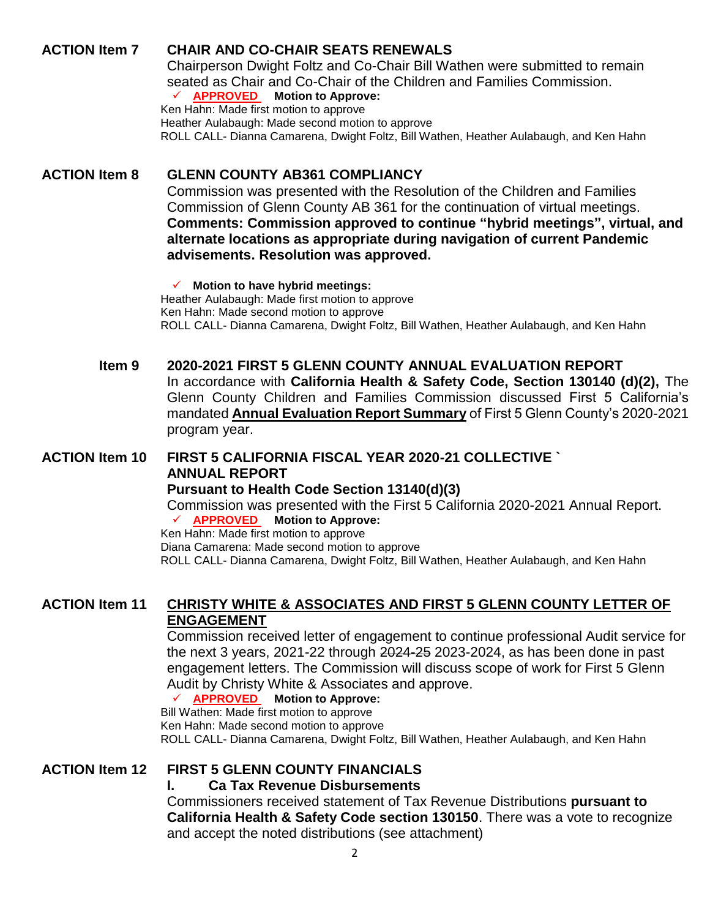## **ACTION Item 7 CHAIR AND CO-CHAIR SEATS RENEWALS**

Chairperson Dwight Foltz and Co-Chair Bill Wathen were submitted to remain seated as Chair and Co-Chair of the Children and Families Commission. **APPROVED Motion to Approve:**

# Ken Hahn: Made first motion to approve

 Heather Aulabaugh: Made second motion to approve ROLL CALL- Dianna Camarena, Dwight Foltz, Bill Wathen, Heather Aulabaugh, and Ken Hahn

## **ACTION Item 8 GLENN COUNTY AB361 COMPLIANCY**

Commission was presented with the Resolution of the Children and Families Commission of Glenn County AB 361 for the continuation of virtual meetings. **Comments: Commission approved to continue "hybrid meetings", virtual, and alternate locations as appropriate during navigation of current Pandemic advisements. Resolution was approved.**

 **Motion to have hybrid meetings:** Heather Aulabaugh: Made first motion to approve Ken Hahn: Made second motion to approve ROLL CALL- Dianna Camarena, Dwight Foltz, Bill Wathen, Heather Aulabaugh, and Ken Hahn

# **Item 9 2020-2021 FIRST 5 GLENN COUNTY ANNUAL EVALUATION REPORT**

In accordance with **California Health & Safety Code, Section 130140 (d)(2),** The Glenn County Children and Families Commission discussed First 5 California's mandated **Annual Evaluation Report Summary** of First 5 Glenn County's 2020-2021 program year.

# **ACTION Item 10 FIRST 5 CALIFORNIA FISCAL YEAR 2020-21 COLLECTIVE ` ANNUAL REPORT**

### **Pursuant to Health Code Section 13140(d)(3)**

Commission was presented with the First 5 California 2020-2021 Annual Report. **APPROVED Motion to Approve:**

 Ken Hahn: Made first motion to approve Diana Camarena: Made second motion to approve ROLL CALL- Dianna Camarena, Dwight Foltz, Bill Wathen, Heather Aulabaugh, and Ken Hahn

# **ACTION Item 11 CHRISTY WHITE & ASSOCIATES AND FIRST 5 GLENN COUNTY LETTER OF ENGAGEMENT**

Commission received letter of engagement to continue professional Audit service for the next 3 years,  $2021-22$  through  $2024-25$  2023-2024, as has been done in past engagement letters. The Commission will discuss scope of work for First 5 Glenn Audit by Christy White & Associates and approve.

### **APPROVED Motion to Approve:**

 Bill Wathen: Made first motion to approve Ken Hahn: Made second motion to approve ROLL CALL- Dianna Camarena, Dwight Foltz, Bill Wathen, Heather Aulabaugh, and Ken Hahn

# **ACTION Item 12 FIRST 5 GLENN COUNTY FINANCIALS**

# **I. Ca Tax Revenue Disbursements**

 Commissioners received statement of Tax Revenue Distributions **pursuant to California Health & Safety Code section 130150**. There was a vote to recognize and accept the noted distributions (see attachment)